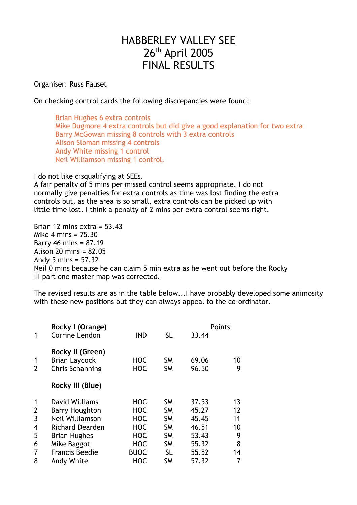## HABBERLEY VALLEY SEE 26<sup>th</sup> April 2005 FINAL RESULTS

Organiser: Russ Fauset

On checking control cards the following discrepancies were found:

Brian Hughes 6 extra controls Mike Dugmore 4 extra controls but did give a good explanation for two extra Barry McGowan missing 8 controls with 3 extra controls Alison Sloman missing 4 controls Andy White missing 1 control Neil Williamson missing 1 control.

I do not like disqualifying at SEEs.

A fair penalty of 5 mins per missed control seems appropriate. I do not normally give penalties for extra controls as time was lost finding the extra controls but, as the area is so small, extra controls can be picked up with little time lost. I think a penalty of 2 mins per extra control seems right.

Brian 12 mins extra = 53.43 Mike 4 mins = 75.30 Barry 46 mins = 87.19 Alison 20 mins = 82.05 Andy 5 mins = 57.32 Neil 0 mins because he can claim 5 min extra as he went out before the Rocky III part one master map was corrected.

The revised results are as in the table below...I have probably developed some animosity with these new positions but they can always appeal to the co-ordinator.

| Rocky I (Orange)                                                   |                          |                        | Points         |         |
|--------------------------------------------------------------------|--------------------------|------------------------|----------------|---------|
| <b>Corrine Lendon</b>                                              | <b>IND</b>               | <b>SL</b>              | 33.44          |         |
| Rocky II (Green)<br><b>Brian Laycock</b><br><b>Chris Schanning</b> | <b>HOC</b><br><b>HOC</b> | <b>SM</b><br><b>SM</b> | 69.06<br>96.50 | 10<br>9 |
| Rocky III (Blue)                                                   |                          |                        |                |         |
| David Williams                                                     | <b>HOC</b>               | <b>SM</b>              | 37.53          | 13      |
| <b>Barry Houghton</b>                                              | <b>HOC</b>               | <b>SM</b>              | 45.27          | 12      |
| Neil Williamson                                                    | <b>HOC</b>               | <b>SM</b>              | 45.45          | 11      |
| <b>Richard Dearden</b>                                             | <b>HOC</b>               | <b>SM</b>              | 46.51          | 10      |
| <b>Brian Hughes</b>                                                | <b>HOC</b>               | <b>SM</b>              | 53.43          | 9       |
| Mike Baggot                                                        | <b>HOC</b>               | <b>SM</b>              | 55.32          | 8       |
| <b>Francis Beedie</b>                                              | <b>BUOC</b>              | <b>SL</b>              | 55.52          | 14      |
| Andy White                                                         | <b>HOC</b>               | <b>SM</b>              | 57.32          | 7       |
|                                                                    |                          |                        |                |         |